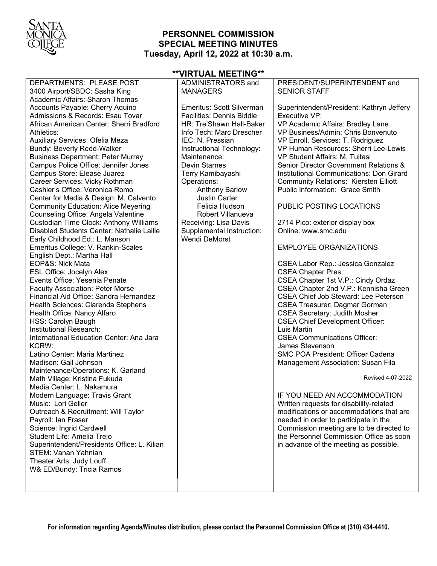

## **PERSONNEL COMMISSION SPECIAL MEETING MINUTES Tuesday, April 12, 2022 at 10:30 a.m.**

# **\*\*VIRTUAL MEETING\*\***

| DEPARTMENTS: PLEASE POST                                                  | ADMINISTRATORS and               | PRESIDENT/SUPERINTENDENT and                                                        |
|---------------------------------------------------------------------------|----------------------------------|-------------------------------------------------------------------------------------|
| 3400 Airport/SBDC: Sasha King                                             | <b>MANAGERS</b>                  | <b>SENIOR STAFF</b>                                                                 |
| Academic Affairs: Sharon Thomas                                           |                                  |                                                                                     |
| Accounts Payable: Cherry Aquino                                           | Emeritus: Scott Silverman        | Superintendent/President: Kathryn Jeffery                                           |
| Admissions & Records: Esau Tovar                                          | <b>Facilities: Dennis Biddle</b> | Executive VP:                                                                       |
| African American Center: Sherri Bradford                                  | HR: Tre'Shawn Hall-Baker         | VP Academic Affairs: Bradley Lane                                                   |
| Athletics:                                                                | Info Tech: Marc Drescher         | VP Business/Admin: Chris Bonvenuto                                                  |
| Auxiliary Services: Ofelia Meza                                           | IEC: N. Pressian                 | VP Enroll. Services: T. Rodriguez                                                   |
| <b>Bundy: Beverly Redd-Walker</b>                                         | Instructional Technology:        | VP Human Resources: Sherri Lee-Lewis                                                |
| <b>Business Department: Peter Murray</b>                                  | Maintenance:                     | VP Student Affairs: M. Tuitasi                                                      |
| Campus Police Office: Jennifer Jones                                      | <b>Devin Starnes</b>             | Senior Director Government Relations &                                              |
| Campus Store: Elease Juarez                                               | Terry Kamibayashi                | Institutional Communications: Don Girard                                            |
| Career Services: Vicky Rothman                                            | Operations:                      | <b>Community Relations: Kiersten Elliott</b>                                        |
| Cashier's Office: Veronica Romo                                           | <b>Anthony Barlow</b>            | Public Information: Grace Smith                                                     |
| Center for Media & Design: M. Calvento                                    | <b>Justin Carter</b>             |                                                                                     |
| <b>Community Education: Alice Meyering</b>                                | Felicia Hudson                   | PUBLIC POSTING LOCATIONS                                                            |
| Counseling Office: Angela Valentine                                       | Robert Villanueva                |                                                                                     |
| Custodian Time Clock: Anthony Williams                                    | Receiving: Lisa Davis            | 2714 Pico: exterior display box                                                     |
| Disabled Students Center: Nathalie Laille                                 | Supplemental Instruction:        | Online: www.smc.edu                                                                 |
| Early Childhood Ed.: L. Manson                                            | Wendi DeMorst                    |                                                                                     |
| Emeritus College: V. Rankin-Scales                                        |                                  | <b>EMPLOYEE ORGANIZATIONS</b>                                                       |
| English Dept.: Martha Hall                                                |                                  |                                                                                     |
| EOP&S: Nick Mata                                                          |                                  | CSEA Labor Rep.: Jessica Gonzalez                                                   |
| ESL Office: Jocelyn Alex                                                  |                                  | <b>CSEA Chapter Pres.:</b>                                                          |
| Events Office: Yesenia Penate                                             |                                  | CSEA Chapter 1st V.P.: Cindy Ordaz                                                  |
| Faculty Association: Peter Morse                                          |                                  | CSEA Chapter 2nd V.P.: Kennisha Green                                               |
| Financial Aid Office: Sandra Hernandez                                    |                                  | <b>CSEA Chief Job Steward: Lee Peterson</b>                                         |
| Health Sciences: Clarenda Stephens                                        |                                  | <b>CSEA Treasurer: Dagmar Gorman</b>                                                |
| Health Office: Nancy Alfaro                                               |                                  | <b>CSEA Secretary: Judith Mosher</b>                                                |
| HSS: Carolyn Baugh                                                        |                                  | <b>CSEA Chief Development Officer:</b>                                              |
| Institutional Research:                                                   |                                  | Luis Martin                                                                         |
| International Education Center: Ana Jara                                  |                                  | <b>CSEA Communications Officer:</b>                                                 |
| KCRW:                                                                     |                                  | James Stevenson                                                                     |
| Latino Center: Maria Martinez                                             |                                  | SMC POA President: Officer Cadena                                                   |
| Madison: Gail Johnson                                                     |                                  | Management Association: Susan Fila                                                  |
| Maintenance/Operations: K. Garland                                        |                                  | Revised 4-07-2022                                                                   |
| Math Village: Kristina Fukuda                                             |                                  |                                                                                     |
| Media Center: L. Nakamura                                                 |                                  |                                                                                     |
| Modern Language: Travis Grant<br>Music: Lori Geller                       |                                  | IF YOU NEED AN ACCOMMODATION                                                        |
|                                                                           |                                  | Written requests for disability-related<br>modifications or accommodations that are |
| Outreach & Recruitment: Will Taylor                                       |                                  |                                                                                     |
| Payroll: Ian Fraser<br>Science: Ingrid Cardwell                           |                                  | needed in order to participate in the                                               |
|                                                                           |                                  | Commission meeting are to be directed to<br>the Personnel Commission Office as soon |
| Student Life: Amelia Trejo<br>Superintendent/Presidents Office: L. Kilian |                                  | in advance of the meeting as possible.                                              |
| <b>STEM: Vanan Yahnian</b>                                                |                                  |                                                                                     |
| Theater Arts: Judy Louff                                                  |                                  |                                                                                     |
| W& ED/Bundy: Tricia Ramos                                                 |                                  |                                                                                     |
|                                                                           |                                  |                                                                                     |
|                                                                           |                                  |                                                                                     |
|                                                                           |                                  |                                                                                     |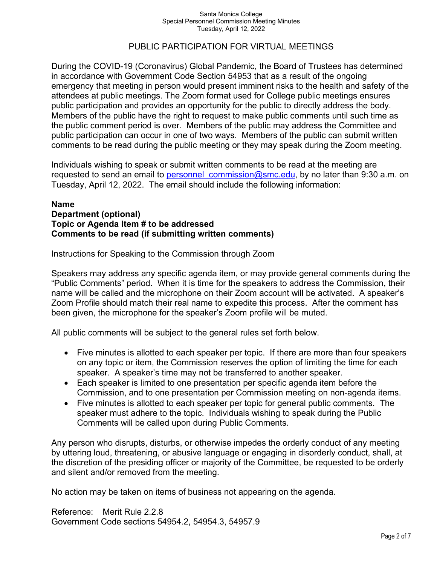#### Santa Monica College Special Personnel Commission Meeting Minutes Tuesday, April 12, 2022

## PUBLIC PARTICIPATION FOR VIRTUAL MEETINGS

During the COVID-19 (Coronavirus) Global Pandemic, the Board of Trustees has determined in accordance with Government Code Section 54953 that as a result of the ongoing emergency that meeting in person would present imminent risks to the health and safety of the attendees at public meetings. The Zoom format used for College public meetings ensures public participation and provides an opportunity for the public to directly address the body. Members of the public have the right to request to make public comments until such time as the public comment period is over. Members of the public may address the Committee and public participation can occur in one of two ways. Members of the public can submit written comments to be read during the public meeting or they may speak during the Zoom meeting.

Individuals wishing to speak or submit written comments to be read at the meeting are requested to send an email to personnel commission@smc.edu, by no later than 9:30 a.m. on Tuesday, April 12, 2022. The email should include the following information:

### **Name Department (optional) Topic or Agenda Item # to be addressed Comments to be read (if submitting written comments)**

Instructions for Speaking to the Commission through Zoom

Speakers may address any specific agenda item, or may provide general comments during the "Public Comments" period. When it is time for the speakers to address the Commission, their name will be called and the microphone on their Zoom account will be activated. A speaker's Zoom Profile should match their real name to expedite this process. After the comment has been given, the microphone for the speaker's Zoom profile will be muted.

All public comments will be subject to the general rules set forth below.

- Five minutes is allotted to each speaker per topic. If there are more than four speakers on any topic or item, the Commission reserves the option of limiting the time for each speaker. A speaker's time may not be transferred to another speaker.
- Each speaker is limited to one presentation per specific agenda item before the Commission, and to one presentation per Commission meeting on non-agenda items.
- Five minutes is allotted to each speaker per topic for general public comments. The speaker must adhere to the topic. Individuals wishing to speak during the Public Comments will be called upon during Public Comments.

Any person who disrupts, disturbs, or otherwise impedes the orderly conduct of any meeting by uttering loud, threatening, or abusive language or engaging in disorderly conduct, shall, at the discretion of the presiding officer or majority of the Committee, be requested to be orderly and silent and/or removed from the meeting.

No action may be taken on items of business not appearing on the agenda.

Reference: Merit Rule 2.2.8 Government Code sections 54954.2, 54954.3, 54957.9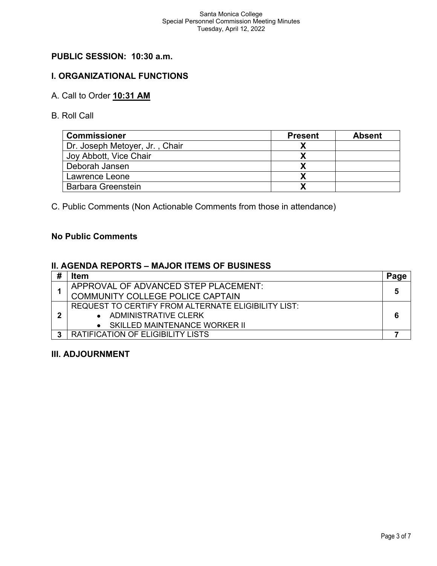# **PUBLIC SESSION: 10:30 a.m.**

## **I. ORGANIZATIONAL FUNCTIONS**

# A. Call to Order **10:31 AM**

B. Roll Call

| <b>Commissioner</b>            | <b>Present</b> | <b>Absent</b> |
|--------------------------------|----------------|---------------|
| Dr. Joseph Metoyer, Jr., Chair |                |               |
| Joy Abbott, Vice Chair         |                |               |
| Deborah Jansen                 |                |               |
| Lawrence Leone                 |                |               |
| <b>Barbara Greenstein</b>      |                |               |

C. Public Comments (Non Actionable Comments from those in attendance)

## **No Public Comments**

### **II. AGENDA REPORTS – MAJOR ITEMS OF BUSINESS**

| Item                                                |   |
|-----------------------------------------------------|---|
| APPROVAL OF ADVANCED STEP PLACEMENT:                |   |
| <b>COMMUNITY COLLEGE POLICE CAPTAIN</b>             | 5 |
| REQUEST TO CERTIFY FROM ALTERNATE ELIGIBILITY LIST: |   |
| • ADMINISTRATIVE CLERK                              |   |
| • SKILLED MAINTENANCE WORKER II                     |   |
| <b>RATIFICATION OF ELIGIBILITY LISTS</b>            |   |

### **III. ADJOURNMENT**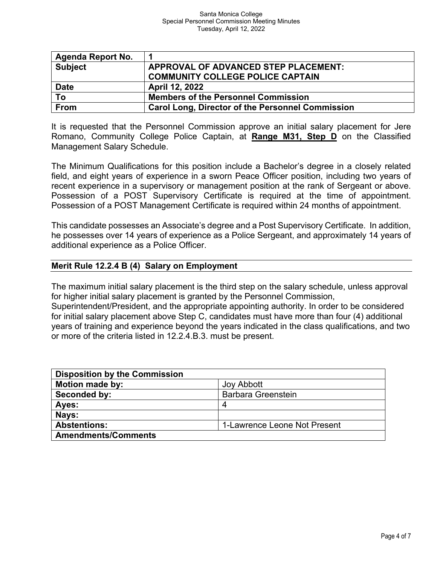| Agenda Report No. | 1                                                       |
|-------------------|---------------------------------------------------------|
| <b>Subject</b>    | APPROVAL OF ADVANCED STEP PLACEMENT:                    |
|                   | <b>COMMUNITY COLLEGE POLICE CAPTAIN</b>                 |
| <b>Date</b>       | April 12, 2022                                          |
| To                | <b>Members of the Personnel Commission</b>              |
| <b>From</b>       | <b>Carol Long, Director of the Personnel Commission</b> |

It is requested that the Personnel Commission approve an initial salary placement for Jere Romano, Community College Police Captain, at **Range M31, Step D** on the Classified Management Salary Schedule.

The Minimum Qualifications for this position include a Bachelor's degree in a closely related field, and eight years of experience in a sworn Peace Officer position, including two years of recent experience in a supervisory or management position at the rank of Sergeant or above. Possession of a POST Supervisory Certificate is required at the time of appointment. Possession of a POST Management Certificate is required within 24 months of appointment.

This candidate possesses an Associate's degree and a Post Supervisory Certificate. In addition, he possesses over 14 years of experience as a Police Sergeant, and approximately 14 years of additional experience as a Police Officer.

## **Merit Rule 12.2.4 B (4) Salary on Employment**

The maximum initial salary placement is the third step on the salary schedule, unless approval for higher initial salary placement is granted by the Personnel Commission,

Superintendent/President, and the appropriate appointing authority. In order to be considered for initial salary placement above Step C, candidates must have more than four (4) additional years of training and experience beyond the years indicated in the class qualifications, and two or more of the criteria listed in 12.2.4.B.3. must be present.

| <b>Disposition by the Commission</b> |                              |
|--------------------------------------|------------------------------|
| <b>Motion made by:</b>               | <b>Joy Abbott</b>            |
| Seconded by:                         | <b>Barbara Greenstein</b>    |
| Ayes:                                | 4                            |
| Nays:                                |                              |
| <b>Abstentions:</b>                  | 1-Lawrence Leone Not Present |
| <b>Amendments/Comments</b>           |                              |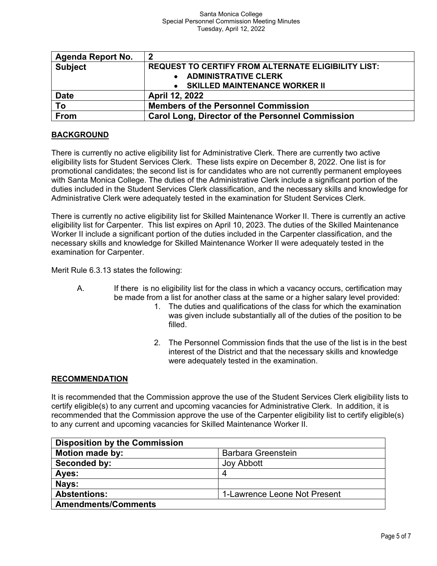| <b>Agenda Report No.</b> | 2                                                          |
|--------------------------|------------------------------------------------------------|
| <b>Subject</b>           | <b>REQUEST TO CERTIFY FROM ALTERNATE ELIGIBILITY LIST:</b> |
|                          | • ADMINISTRATIVE CLERK                                     |
|                          | • SKILLED MAINTENANCE WORKER II                            |
| <b>Date</b>              | April 12, 2022                                             |
| To                       | <b>Members of the Personnel Commission</b>                 |
| From                     | <b>Carol Long, Director of the Personnel Commission</b>    |

## **BACKGROUND**

There is currently no active eligibility list for Administrative Clerk. There are currently two active eligibility lists for Student Services Clerk. These lists expire on December 8, 2022. One list is for promotional candidates; the second list is for candidates who are not currently permanent employees with Santa Monica College. The duties of the Administrative Clerk include a significant portion of the duties included in the Student Services Clerk classification, and the necessary skills and knowledge for Administrative Clerk were adequately tested in the examination for Student Services Clerk.

There is currently no active eligibility list for Skilled Maintenance Worker II. There is currently an active eligibility list for Carpenter. This list expires on April 10, 2023. The duties of the Skilled Maintenance Worker II include a significant portion of the duties included in the Carpenter classification, and the necessary skills and knowledge for Skilled Maintenance Worker II were adequately tested in the examination for Carpenter.

Merit Rule 6.3.13 states the following:

- A. If there is no eligibility list for the class in which a vacancy occurs, certification may be made from a list for another class at the same or a higher salary level provided:
	- 1. The duties and qualifications of the class for which the examination was given include substantially all of the duties of the position to be filled.
	- 2. The Personnel Commission finds that the use of the list is in the best interest of the District and that the necessary skills and knowledge were adequately tested in the examination.

#### **RECOMMENDATION**

It is recommended that the Commission approve the use of the Student Services Clerk eligibility lists to certify eligible(s) to any current and upcoming vacancies for Administrative Clerk. In addition, it is recommended that the Commission approve the use of the Carpenter eligibility list to certify eligible(s) to any current and upcoming vacancies for Skilled Maintenance Worker II.

| <b>Disposition by the Commission</b> |                              |
|--------------------------------------|------------------------------|
| <b>Motion made by:</b>               | <b>Barbara Greenstein</b>    |
| Seconded by:                         | <b>Joy Abbott</b>            |
| Ayes:                                | 4                            |
| Nays:                                |                              |
| <b>Abstentions:</b>                  | 1-Lawrence Leone Not Present |
| <b>Amendments/Comments</b>           |                              |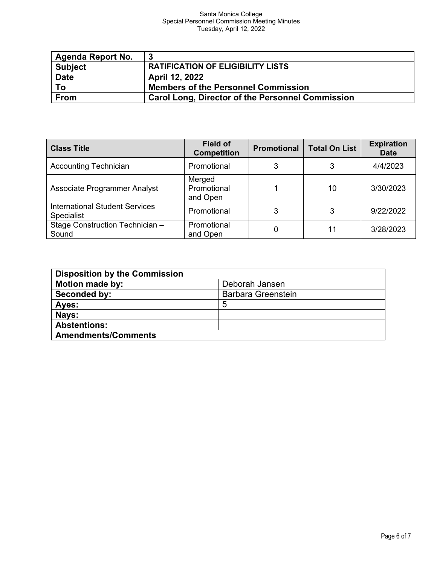#### Santa Monica College Special Personnel Commission Meeting Minutes Tuesday, April 12, 2022

| <b>Agenda Report No.</b> | -3                                                      |
|--------------------------|---------------------------------------------------------|
| <b>Subject</b>           | <b>RATIFICATION OF ELIGIBILITY LISTS</b>                |
| <b>Date</b>              | April 12, 2022                                          |
| To                       | <b>Members of the Personnel Commission</b>              |
| <b>From</b>              | <b>Carol Long, Director of the Personnel Commission</b> |

| <b>Class Title</b>                                         | <b>Field of</b><br><b>Competition</b> | <b>Promotional</b> | <b>Total On List</b> | <b>Expiration</b><br><b>Date</b> |
|------------------------------------------------------------|---------------------------------------|--------------------|----------------------|----------------------------------|
| <b>Accounting Technician</b>                               | Promotional                           | 3                  |                      | 4/4/2023                         |
| <b>Associate Programmer Analyst</b>                        | Merged<br>Promotional<br>and Open     |                    | 10                   | 3/30/2023                        |
| <b>International Student Services</b><br><b>Specialist</b> | Promotional                           | 3                  | 3                    | 9/22/2022                        |
| Stage Construction Technician -<br>Sound                   | Promotional<br>and Open               | 0                  | 11                   | 3/28/2023                        |

| <b>Disposition by the Commission</b> |                           |
|--------------------------------------|---------------------------|
| <b>Motion made by:</b>               | Deborah Jansen            |
| Seconded by:                         | <b>Barbara Greenstein</b> |
| Ayes:                                | 5                         |
| Nays:                                |                           |
| <b>Abstentions:</b>                  |                           |
| <b>Amendments/Comments</b>           |                           |